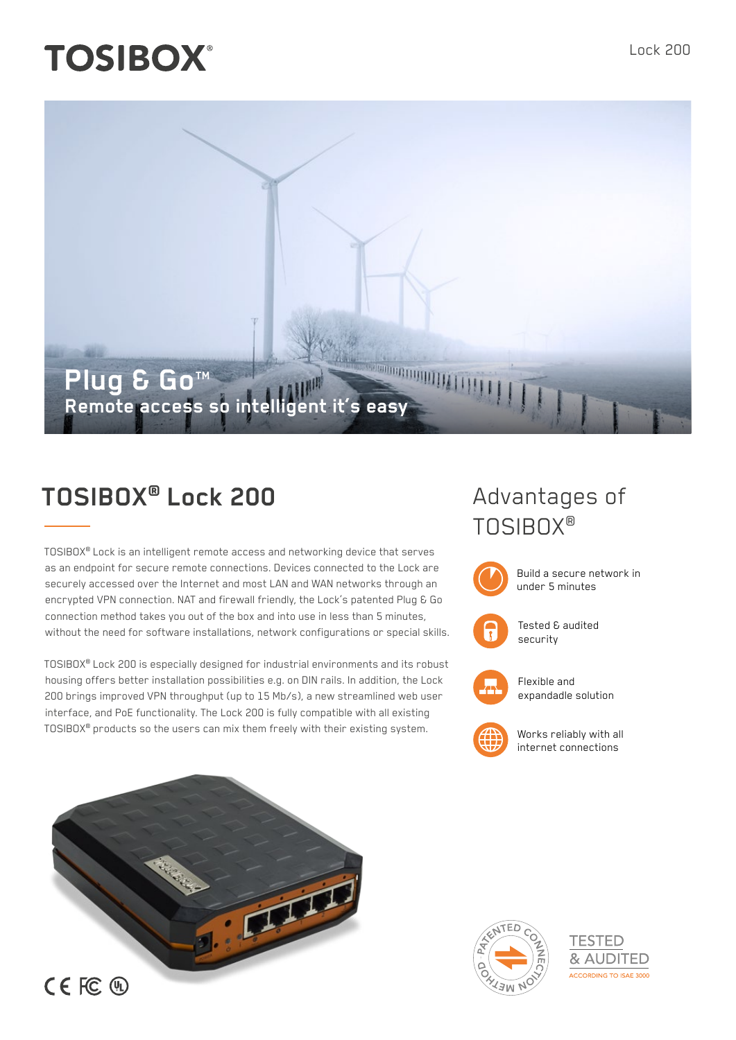# **TOSIBOX®**



# **TOSIBOX® Lock 200**

TOSIBOX® Lock is an intelligent remote access and networking device that serves as an endpoint for secure remote connections. Devices connected to the Lock are securely accessed over the Internet and most LAN and WAN networks through an encrypted VPN connection. NAT and firewall friendly, the Lock's patented Plug & Go connection method takes you out of the box and into use in less than 5 minutes, without the need for software installations, network configurations or special skills.

TOSIBOX® Lock 200 is especially designed for industrial environments and its robust housing offers better installation possibilities e.g. on DIN rails. In addition, the Lock 200 brings improved VPN throughput (up to 15 Mb/s), a new streamlined web user interface, and PoE functionality. The Lock 200 is fully compatible with all existing TOSIBOX® products so the users can mix them freely with their existing system.

## Advantages of TOSIBOX®



Build a secure network in under 5 minutes



Tested & audited security



Flexible and expandadle solution



Works reliably with all internet connections